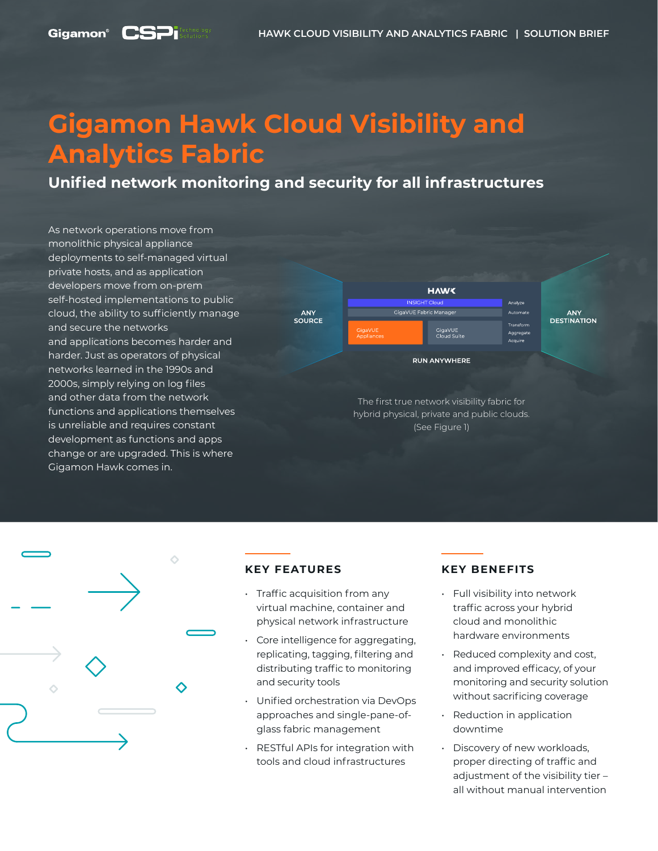### **Gigamon**<sup>®</sup>

# **Gigamon Hawk Cloud Visibility and Analytics Fabric**

**Unified network monitoring and security for all infrastructures**

As network operations move from monolithic physical appliance deployments to self-managed virtual private hosts, and as application developers move from on-prem self-hosted implementations to public cloud, the ability to sufficiently manage and secure the networks and applications becomes harder and harder. Just as operators of physical networks learned in the 1990s and 2000s, simply relying on log files and other data from the network functions and applications themselves is unreliable and requires constant development as functions and apps change or are upgraded. This is where Gigamon Hawk comes in.





### **KEY FEATURES**

- Traffic acquisition from any virtual machine, container and physical network infrastructure
- Core intelligence for aggregating, replicating, tagging, filtering and distributing traffic to monitoring and security tools
- Unified orchestration via DevOps approaches and single-pane-ofglass fabric management
- RESTful APIs for integration with tools and cloud infrastructures

### **KEY BENEFITS**

- Full visibility into network traffic across your hybrid cloud and monolithic hardware environments
- Reduced complexity and cost, and improved efficacy, of your monitoring and security solution without sacrificing coverage
- Reduction in application downtime
- Discovery of new workloads, proper directing of traffic and adiustment of the visibility tier all without manual intervention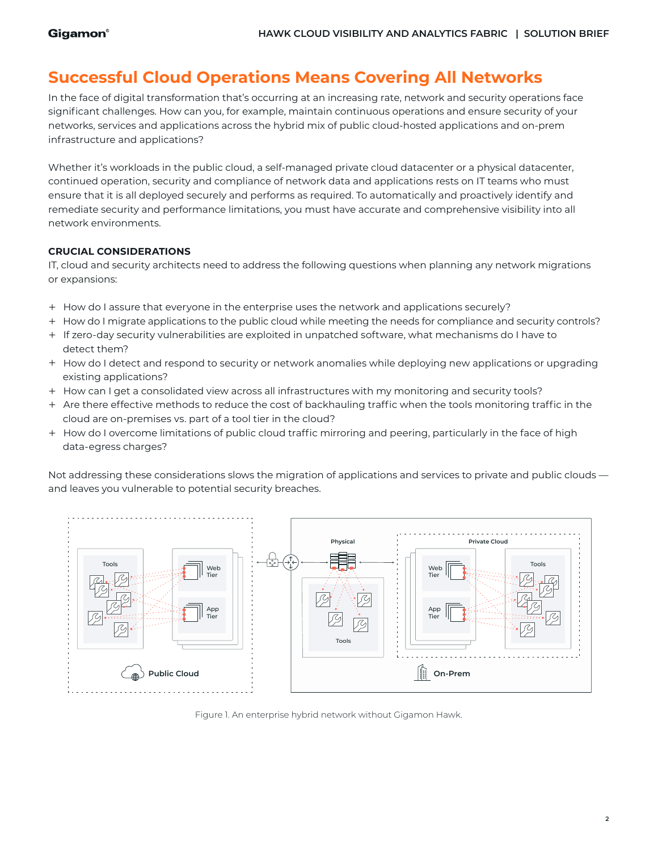# **Successful Cloud Operations Means Covering All Networks**

In the face of digital transformation that's occurring at an increasing rate, network and security operations face significant challenges. How can you, for example, maintain continuous operations and ensure security of your networks, services and applications across the hybrid mix of public cloud-hosted applications and on-prem infrastructure and applications?

Whether it's workloads in the public cloud, a self-managed private cloud datacenter or a physical datacenter, continued operation, security and compliance of network data and applications rests on IT teams who must ensure that it is all deployed securely and performs as required. To automatically and proactively identify and remediate security and performance limitations, you must have accurate and comprehensive visibility into all network environments.

### **CRUCIAL CONSIDERATIONS**

IT, cloud and security architects need to address the following questions when planning any network migrations or expansions:

- + How do I assure that everyone in the enterprise uses the network and applications securely?
- + How do I migrate applications to the public cloud while meeting the needs for compliance and security controls?
- + If zero-day security vulnerabilities are exploited in unpatched software, what mechanisms do I have to detect them?
- + How do I detect and respond to security or network anomalies while deploying new applications or upgrading existing applications?
- + How can I get a consolidated view across all infrastructures with my monitoring and security tools?
- + Are there effective methods to reduce the cost of backhauling traffic when the tools monitoring traffic in the cloud are on-premises vs. part of a tool tier in the cloud?
- + How do I overcome limitations of public cloud traffic mirroring and peering, particularly in the face of high data-egress charges?

Not addressing these considerations slows the migration of applications and services to private and public clouds and leaves you vulnerable to potential security breaches.



Figure 1. An enterprise hybrid network without Gigamon Hawk.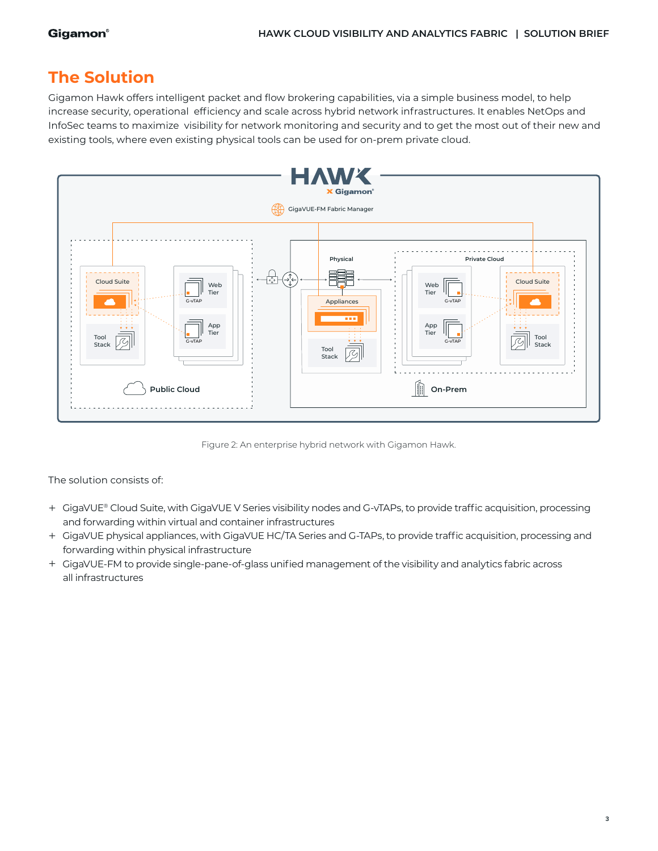# **The Solution**

Gigamon Hawk offers intelligent packet and flow brokering capabilities, via a simple business model, to help increase security, operational efficiency and scale across hybrid network infrastructures. It enables NetOps and InfoSec teams to maximize visibility for network monitoring and security and to get the most out of their new and existing tools, where even existing physical tools can be used for on-prem private cloud.



Figure 2: An enterprise hybrid network with Gigamon Hawk.

The solution consists of:

- + GigaVUE® Cloud Suite, with GigaVUE V Series visibility nodes and G-vTAPs, to provide traffic acquisition, processing and forwarding within virtual and container infrastructures
- + GigaVUE physical appliances, with GigaVUE HC/TA Series and G-TAPs, to provide traffic acquisition, processing and forwarding within physical infrastructure
- + GigaVUE-FM to provide single-pane-of-glass unified management of the visibility and analytics fabric across all infrastructures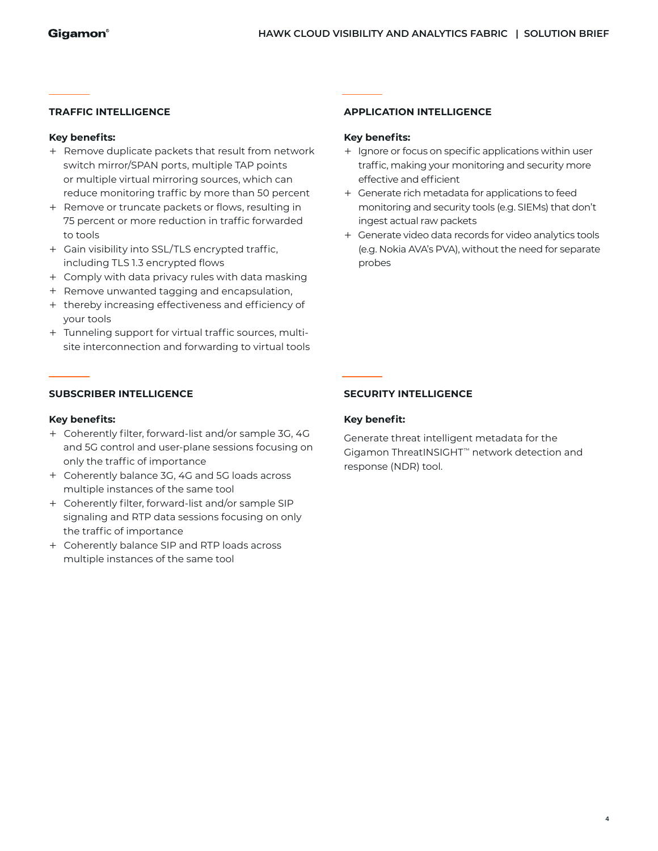#### **TRAFFIC INTELLIGENCE**

#### **Key benefits:**

- + Remove duplicate packets that result from network switch mirror/SPAN ports, multiple TAP points or multiple virtual mirroring sources, which can reduce monitoring traffic by more than 50 percent
- + Remove or truncate packets or flows, resulting in 75 percent or more reduction in traffic forwarded to tools
- + Gain visibility into SSL/TLS encrypted traffic, including TLS 1.3 encrypted flows
- + Comply with data privacy rules with data masking
- + Remove unwanted tagging and encapsulation,
- + thereby increasing effectiveness and efficiency of your tools
- + Tunneling support for virtual traffic sources, multisite interconnection and forwarding to virtual tools

## **SUBSCRIBER INTELLIGENCE**

#### **Key benefits:**

- + Coherently filter, forward-list and/or sample 3G, 4G and 5G control and user-plane sessions focusing on only the traffic of importance
- + Coherently balance 3G, 4G and 5G loads across multiple instances of the same tool
- + Coherently filter, forward-list and/or sample SIP signaling and RTP data sessions focusing on only the traffic of importance
- + Coherently balance SIP and RTP loads across multiple instances of the same tool

#### **APPLICATION INTELLIGENCE**

#### **Key benefits:**

- + Ignore or focus on specific applications within user traffic, making your monitoring and security more effective and efficient
- + Generate rich metadata for applications to feed monitoring and security tools (e.g. SIEMs) that don't ingest actual raw packets
- + Generate video data records for video analytics tools (e.g. Nokia AVA's PVA), without the need for separate probes

### **SECURITY INTELLIGENCE**

### **Key benefit:**

Generate threat intelligent metadata for the Gigamon ThreatINSIGHT™ network detection and response (NDR) tool.

**4**